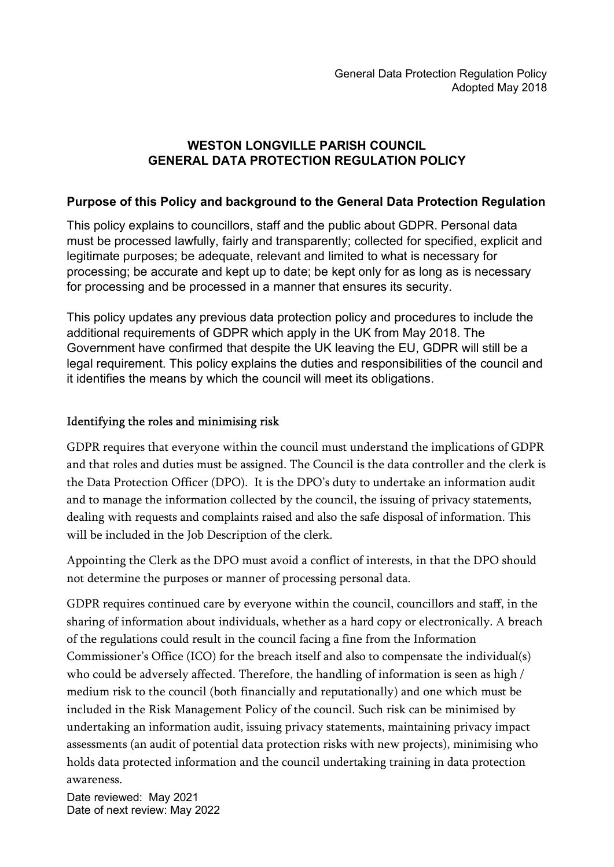# WESTON LONGVILLE PARISH COUNCIL GENERAL DATA PROTECTION REGULATION POLICY

### Purpose of this Policy and background to the General Data Protection Regulation

This policy explains to councillors, staff and the public about GDPR. Personal data must be processed lawfully, fairly and transparently; collected for specified, explicit and legitimate purposes; be adequate, relevant and limited to what is necessary for processing; be accurate and kept up to date; be kept only for as long as is necessary for processing and be processed in a manner that ensures its security.

This policy updates any previous data protection policy and procedures to include the additional requirements of GDPR which apply in the UK from May 2018. The Government have confirmed that despite the UK leaving the EU, GDPR will still be a legal requirement. This policy explains the duties and responsibilities of the council and it identifies the means by which the council will meet its obligations.

### Identifying the roles and minimising risk

GDPR requires that everyone within the council must understand the implications of GDPR and that roles and duties must be assigned. The Council is the data controller and the clerk is the Data Protection Officer (DPO). It is the DPO's duty to undertake an information audit and to manage the information collected by the council, the issuing of privacy statements, dealing with requests and complaints raised and also the safe disposal of information. This will be included in the Job Description of the clerk.

Appointing the Clerk as the DPO must avoid a conflict of interests, in that the DPO should not determine the purposes or manner of processing personal data.

GDPR requires continued care by everyone within the council, councillors and staff, in the sharing of information about individuals, whether as a hard copy or electronically. A breach of the regulations could result in the council facing a fine from the Information Commissioner's Office (ICO) for the breach itself and also to compensate the individual(s) who could be adversely affected. Therefore, the handling of information is seen as high / medium risk to the council (both financially and reputationally) and one which must be included in the Risk Management Policy of the council. Such risk can be minimised by undertaking an information audit, issuing privacy statements, maintaining privacy impact assessments (an audit of potential data protection risks with new projects), minimising who holds data protected information and the council undertaking training in data protection awareness.

Date reviewed: May 2021 Date of next review: May 2022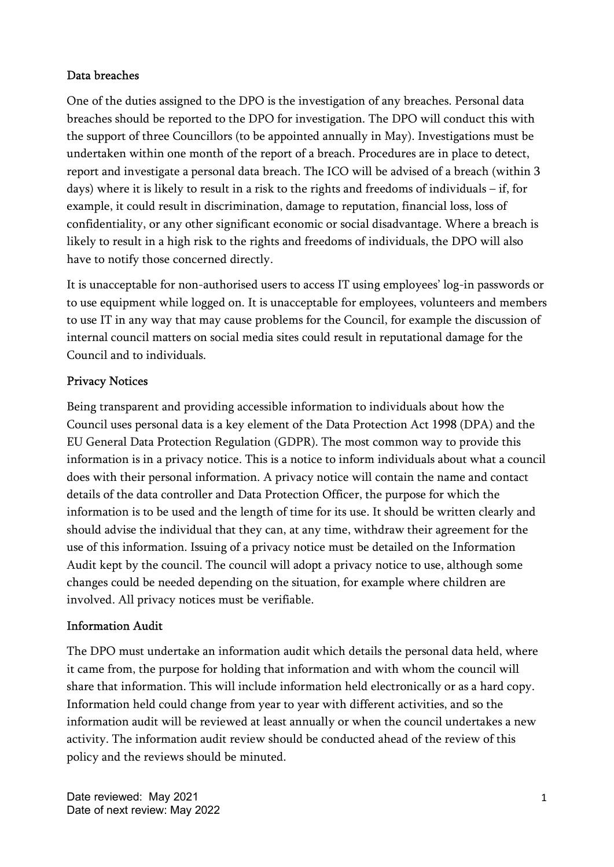#### Data breaches

One of the duties assigned to the DPO is the investigation of any breaches. Personal data breaches should be reported to the DPO for investigation. The DPO will conduct this with the support of three Councillors (to be appointed annually in May). Investigations must be undertaken within one month of the report of a breach. Procedures are in place to detect, report and investigate a personal data breach. The ICO will be advised of a breach (within 3 days) where it is likely to result in a risk to the rights and freedoms of individuals – if, for example, it could result in discrimination, damage to reputation, financial loss, loss of confidentiality, or any other significant economic or social disadvantage. Where a breach is likely to result in a high risk to the rights and freedoms of individuals, the DPO will also have to notify those concerned directly.

It is unacceptable for non-authorised users to access IT using employees' log-in passwords or to use equipment while logged on. It is unacceptable for employees, volunteers and members to use IT in any way that may cause problems for the Council, for example the discussion of internal council matters on social media sites could result in reputational damage for the Council and to individuals.

### Privacy Notices

Being transparent and providing accessible information to individuals about how the Council uses personal data is a key element of the Data Protection Act 1998 (DPA) and the EU General Data Protection Regulation (GDPR). The most common way to provide this information is in a privacy notice. This is a notice to inform individuals about what a council does with their personal information. A privacy notice will contain the name and contact details of the data controller and Data Protection Officer, the purpose for which the information is to be used and the length of time for its use. It should be written clearly and should advise the individual that they can, at any time, withdraw their agreement for the use of this information. Issuing of a privacy notice must be detailed on the Information Audit kept by the council. The council will adopt a privacy notice to use, although some changes could be needed depending on the situation, for example where children are involved. All privacy notices must be verifiable.

#### Information Audit

The DPO must undertake an information audit which details the personal data held, where it came from, the purpose for holding that information and with whom the council will share that information. This will include information held electronically or as a hard copy. Information held could change from year to year with different activities, and so the information audit will be reviewed at least annually or when the council undertakes a new activity. The information audit review should be conducted ahead of the review of this policy and the reviews should be minuted.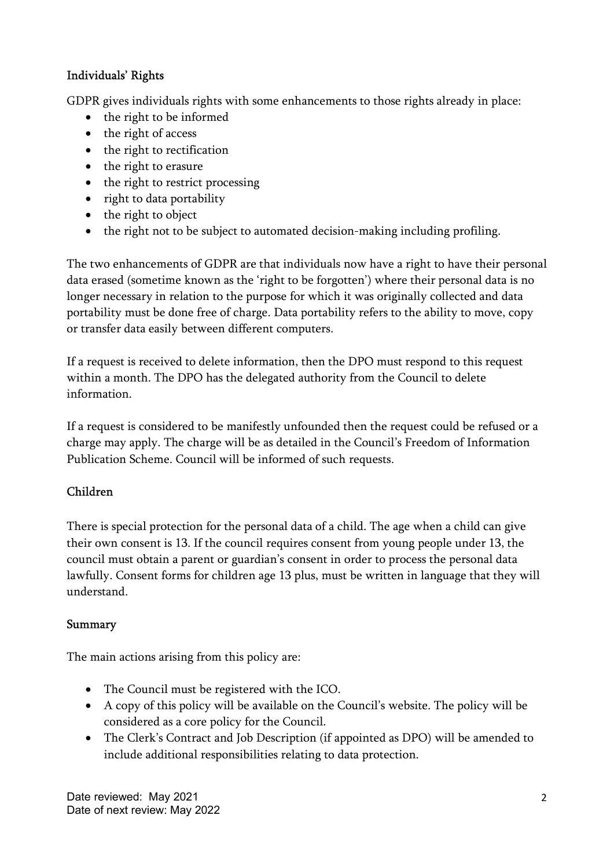### Individuals' Rights

GDPR gives individuals rights with some enhancements to those rights already in place:

- the right to be informed
- the right of access
- the right to rectification
- the right to erasure
- the right to restrict processing
- right to data portability
- the right to object
- the right not to be subject to automated decision-making including profiling.

The two enhancements of GDPR are that individuals now have a right to have their personal data erased (sometime known as the 'right to be forgotten') where their personal data is no longer necessary in relation to the purpose for which it was originally collected and data portability must be done free of charge. Data portability refers to the ability to move, copy or transfer data easily between different computers.

If a request is received to delete information, then the DPO must respond to this request within a month. The DPO has the delegated authority from the Council to delete information.

If a request is considered to be manifestly unfounded then the request could be refused or a charge may apply. The charge will be as detailed in the Council's Freedom of Information Publication Scheme. Council will be informed of such requests.

# Children

There is special protection for the personal data of a child. The age when a child can give their own consent is 13. If the council requires consent from young people under 13, the council must obtain a parent or guardian's consent in order to process the personal data lawfully. Consent forms for children age 13 plus, must be written in language that they will understand.

# Summary

The main actions arising from this policy are:

- The Council must be registered with the ICO.
- A copy of this policy will be available on the Council's website. The policy will be considered as a core policy for the Council.
- The Clerk's Contract and Job Description (if appointed as DPO) will be amended to include additional responsibilities relating to data protection.